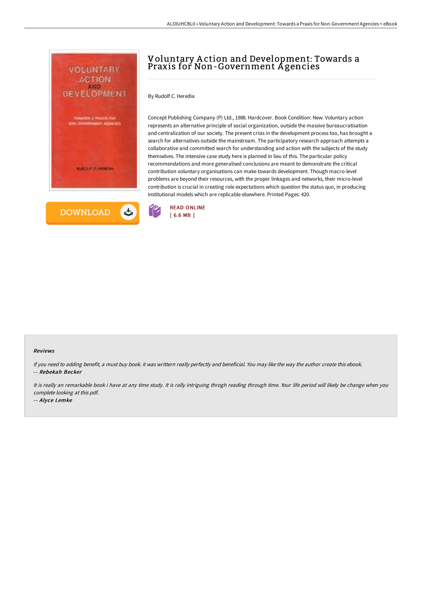



# Voluntary A ction and Development: Towards a Praxis for Non-Government A gencies

By Rudolf C. Heredia

Concept Publishing Company (P) Ltd., 1988. Hardcover. Book Condition: New. Voluntary action represents an alternative principle of social organization, outside the massive bureaucratisation and centralization of our society. The present crisis in the development process too, has brought a search for alternatives outside the mainstream. The participatory research approach attempts a collaborative and committed search for understanding and action with the subjects of the study themselves. The intensive case study here is planned in lieu of this. The particular policy recommendations and more generalised conclusions are meant to demonstrate the critical contribution voluntary organisations can make towards development. Though macro-level problems are beyond their resources, with the proper linkages and networks, their micro-level contribution is crucial in creating role expectations which question the status quo, in producing institutional models which are replicable elsewhere. Printed Pages: 420.



#### Reviews

If you need to adding benefit, <sup>a</sup> must buy book. it was writtern really perfectly and beneficial. You may like the way the author create this ebook. -- Rebekah Becker

It is really an remarkable book i have at any time study. It is rally intriguing throgh reading through time. Your life period will likely be change when you complete looking at this pdf.

-- Alyce Lemke